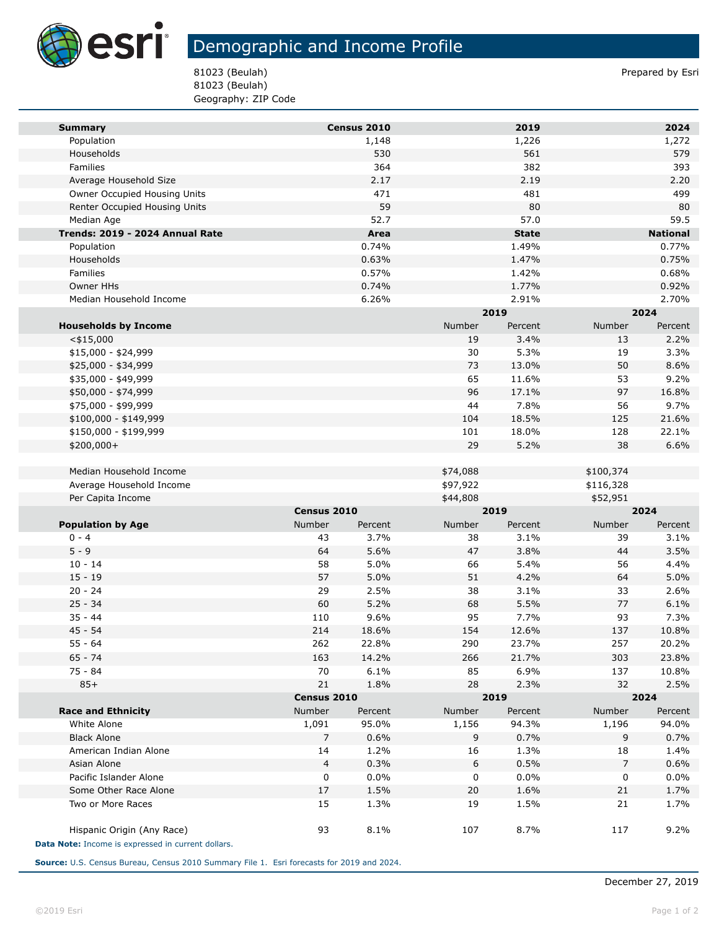

## Demographic and Income Profile

81023 (Beulah) Prepared by Esri 81023 (Beulah) Geography: ZIP Code

| <b>Summary</b>                                     |                   | Census 2010   |           | 2019             |                   | 2024            |  |
|----------------------------------------------------|-------------------|---------------|-----------|------------------|-------------------|-----------------|--|
| Population                                         |                   | 1,148         |           | 1,226            |                   | 1,272           |  |
| Households                                         |                   | 530           |           | 561              |                   | 579             |  |
| Families                                           |                   | 364           |           | 382              |                   | 393             |  |
| Average Household Size                             |                   | 2.17          |           | 2.19             |                   | 2.20            |  |
| Owner Occupied Housing Units                       |                   | 471           |           | 481              |                   | 499             |  |
| Renter Occupied Housing Units                      |                   | 59            |           | 80               |                   | 80              |  |
| Median Age                                         |                   | 52.7          |           | 57.0             |                   | 59.5            |  |
| Trends: 2019 - 2024 Annual Rate                    |                   | Area          |           | <b>State</b>     |                   | <b>National</b> |  |
| Population                                         |                   | 0.74%         |           | 1.49%            |                   | 0.77%           |  |
| Households                                         |                   | 0.63%         |           | 1.47%            |                   | 0.75%           |  |
| Families                                           |                   | 0.57%         |           | 1.42%            |                   | 0.68%           |  |
| Owner HHs                                          |                   | 0.74%         |           | 1.77%            |                   | 0.92%           |  |
| Median Household Income                            |                   | 6.26%         |           | 2.91%            |                   | 2.70%           |  |
|                                                    |                   |               |           | 2019             |                   | 2024            |  |
| <b>Households by Income</b>                        |                   |               | Number    | Percent          | Number            | Percent         |  |
| $<$ \$15,000                                       |                   |               | 19        | 3.4%             | 13                | 2.2%            |  |
| $$15,000 - $24,999$                                |                   |               | 30        | 5.3%             | 19                | 3.3%            |  |
| \$25,000 - \$34,999                                |                   |               | 73        | 13.0%            | 50                | 8.6%            |  |
| \$35,000 - \$49,999                                |                   |               | 65        | 11.6%            | 53                | 9.2%            |  |
| \$50,000 - \$74,999                                |                   |               | 96        | 17.1%            | 97                | 16.8%           |  |
| \$75,000 - \$99,999                                |                   |               | 44        | 7.8%             | 56                | 9.7%            |  |
| \$100,000 - \$149,999                              |                   |               | 104       | 18.5%            | 125               | 21.6%           |  |
| \$150,000 - \$199,999                              |                   |               | 101       | 18.0%            | 128               | 22.1%           |  |
| \$200,000+                                         |                   |               | 29        | 5.2%             | 38                | 6.6%            |  |
|                                                    |                   |               |           |                  |                   |                 |  |
| Median Household Income                            |                   |               | \$74,088  |                  | \$100,374         |                 |  |
| Average Household Income                           |                   |               | \$97,922  |                  | \$116,328         |                 |  |
| Per Capita Income                                  |                   |               | \$44,808  |                  | \$52,951          |                 |  |
|                                                    | Census 2010       |               |           | 2019             |                   | 2024            |  |
| <b>Population by Age</b>                           | Number            | Percent       | Number    | Percent          | Number            | Percent         |  |
| $0 - 4$                                            | 43                | 3.7%          | 38        | 3.1%             | 39                | 3.1%            |  |
| $5 - 9$                                            | 64                | 5.6%          | 47        | 3.8%             | 44                | 3.5%            |  |
| $10 - 14$                                          | 58                | 5.0%          | 66        | 5.4%             | 56                | 4.4%            |  |
| $15 - 19$                                          | 57                | 5.0%          | 51        | 4.2%             | 64                | 5.0%            |  |
| $20 - 24$                                          | 29                | 2.5%          | 38        | 3.1%             | 33                | 2.6%            |  |
| $25 - 34$                                          | 60                | 5.2%          | 68        | 5.5%             | 77                | 6.1%            |  |
| $35 - 44$<br>$45 - 54$                             | 110<br>214        | 9.6%<br>18.6% | 95<br>154 | 7.7%<br>12.6%    | 93<br>137         | 7.3%<br>10.8%   |  |
| $55 - 64$                                          | 262               | 22.8%         | 290       | 23.7%            | 257               | 20.2%           |  |
| $65 - 74$                                          |                   |               |           |                  |                   |                 |  |
| $75 - 84$                                          | 163<br>70         | 14.2%<br>6.1% | 266<br>85 | 21.7%<br>6.9%    | 303<br>137        | 23.8%<br>10.8%  |  |
|                                                    |                   |               |           |                  |                   |                 |  |
| $85+$                                              | 21<br>Census 2010 | 1.8%          | 28        | 2.3%<br>2019     | 32                | 2.5%<br>2024    |  |
| <b>Race and Ethnicity</b>                          | Number<br>Percent |               | Number    |                  | Number<br>Percent |                 |  |
| White Alone                                        | 1,091             | 95.0%         | 1,156     | Percent<br>94.3% | 1,196             | 94.0%           |  |
| <b>Black Alone</b>                                 | 7                 | 0.6%          | 9         | 0.7%             | 9                 | 0.7%            |  |
| American Indian Alone                              | 14                | 1.2%          | 16        | 1.3%             | 18                | 1.4%            |  |
| Asian Alone                                        | 4                 | 0.3%          | 6         | 0.5%             | 7                 | 0.6%            |  |
| Pacific Islander Alone                             | 0                 | 0.0%          | 0         | 0.0%             | 0                 | 0.0%            |  |
| Some Other Race Alone                              | 17                | 1.5%          | 20        | 1.6%             | 21                | 1.7%            |  |
| Two or More Races                                  | 15                | 1.3%          | 19        | 1.5%             | 21                | 1.7%            |  |
|                                                    |                   |               |           |                  |                   |                 |  |
| Hispanic Origin (Any Race)                         | 93                | 8.1%          | 107       | 8.7%             | 117               | 9.2%            |  |
| Data Note: Income is expressed in current dollars. |                   |               |           |                  |                   |                 |  |
|                                                    |                   |               |           |                  |                   |                 |  |

**Source:** U.S. Census Bureau, Census 2010 Summary File 1. Esri forecasts for 2019 and 2024.